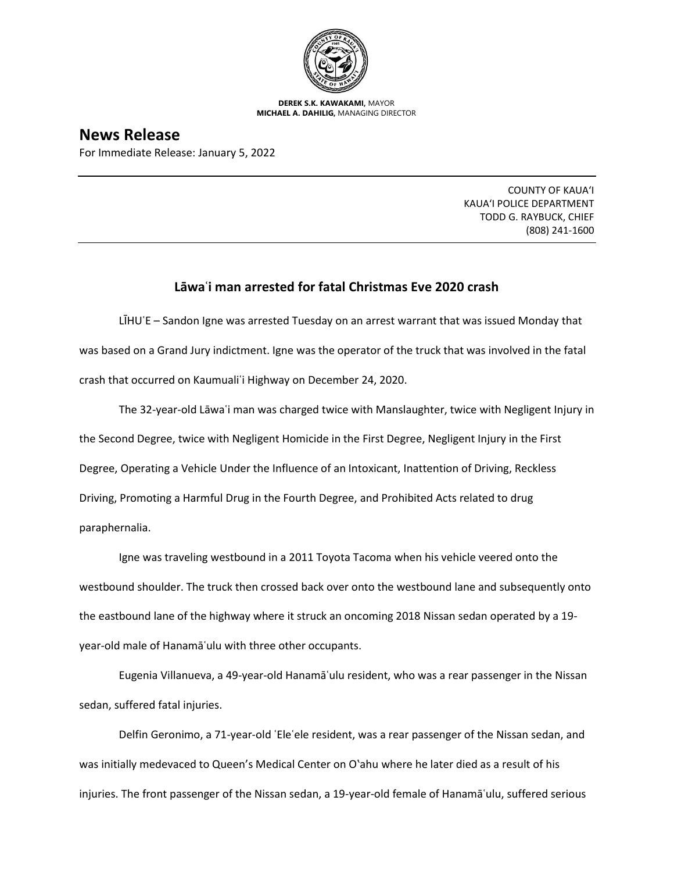

**DEREK S.K. KAWAKAMI,** MAYOR **MICHAEL A. DAHILIG,** MANAGING DIRECTOR

**News Release**

For Immediate Release: January 5, 2022

COUNTY OF KAUA'I KAUA'I POLICE DEPARTMENT TODD G. RAYBUCK, CHIEF (808) 241-1600

## **Lāwaʿi man arrested for fatal Christmas Eve 2020 crash**

LIHU'E – Sandon Igne was arrested Tuesday on an arrest warrant that was issued Monday that was based on a Grand Jury indictment. Igne was the operator of the truck that was involved in the fatal crash that occurred on Kaumualiʿi Highway on December 24, 2020.

The 32-year-old Lāwaʿi man was charged twice with Manslaughter, twice with Negligent Injury in the Second Degree, twice with Negligent Homicide in the First Degree, Negligent Injury in the First Degree, Operating a Vehicle Under the Influence of an Intoxicant, Inattention of Driving, Reckless Driving, Promoting a Harmful Drug in the Fourth Degree, and Prohibited Acts related to drug paraphernalia.

Igne was traveling westbound in a 2011 Toyota Tacoma when his vehicle veered onto the westbound shoulder. The truck then crossed back over onto the westbound lane and subsequently onto the eastbound lane of the highway where it struck an oncoming 2018 Nissan sedan operated by a 19 year-old male of Hanamāʿulu with three other occupants.

Eugenia Villanueva, a 49-year-old Hanamāʿulu resident, who was a rear passenger in the Nissan sedan, suffered fatal injuries.

Delfin Geronimo, a 71-year-old ʿEleʿele resident, was a rear passenger of the Nissan sedan, and was initially medevaced to Queen's Medical Center on O'ahu where he later died as a result of his injuries. The front passenger of the Nissan sedan, a 19-year-old female of Hanamāʿulu, suffered serious